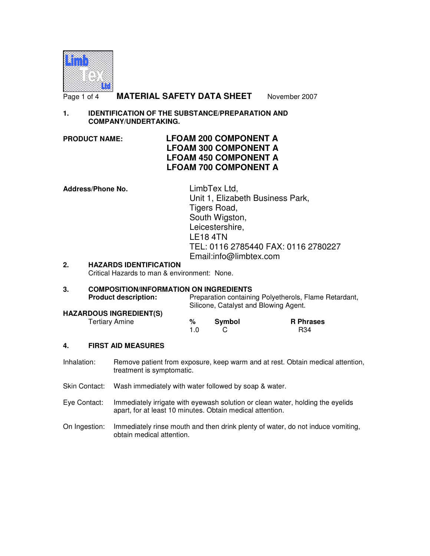

Page 1 of 4 **MATERIAL SAFETY DATA SHEET** November 2007

# **1. IDENTIFICATION OF THE SUBSTANCE/PREPARATION AND COMPANY/UNDERTAKING.**

# **PRODUCT NAME: LFOAM 200 COMPONENT A LFOAM 300 COMPONENT A LFOAM 450 COMPONENT A LFOAM 700 COMPONENT A**

**Address/Phone No.** LimbTex Ltd, Unit 1, Elizabeth Business Park, Tigers Road, South Wigston, Leicestershire, LE18 4TN TEL: 0116 2785440 FAX: 0116 2780227 Email:info@limbtex.com

# **2. HAZARDS IDENTIFICATION**

Critical Hazards to man & environment: None.

#### **3. COMPOSITION/INFORMATION ON INGREDIENTS**  Preparation containing Polyetherols, Flame Retardant, Silicone, Catalyst and Blowing Agent. **HAZARDOUS INGREDIENT(S)**  Tertiary Amine **% Symbol R Phrases 1.0** C R34

#### **4. FIRST AID MEASURES**

- Inhalation: Remove patient from exposure, keep warm and at rest. Obtain medical attention, treatment is symptomatic.
- Skin Contact: Wash immediately with water followed by soap & water.
- Eye Contact: Immediately irrigate with eyewash solution or clean water, holding the eyelids apart, for at least 10 minutes. Obtain medical attention.
- On Ingestion: Immediately rinse mouth and then drink plenty of water, do not induce vomiting, obtain medical attention.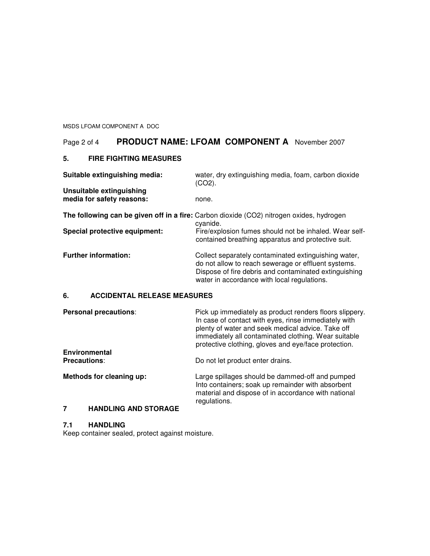MSDS LFOAM COMPONENT A DOC

# Page 2 of 4 **PRODUCT NAME: LFOAM COMPONENT A** November 2007

### **5. FIRE FIGHTING MEASURES**

| Suitable extinguishing media:                                                                        | water, dry extinguishing media, foam, carbon dioxide<br>$(CO2)$ .                                                                                                                                                   |
|------------------------------------------------------------------------------------------------------|---------------------------------------------------------------------------------------------------------------------------------------------------------------------------------------------------------------------|
| Unsuitable extinguishing<br>media for safety reasons:                                                | none.                                                                                                                                                                                                               |
| The following can be given off in a fire: Carbon dioxide (CO2) nitrogen oxides, hydrogen<br>cyanide. |                                                                                                                                                                                                                     |
| Special protective equipment:                                                                        | Fire/explosion fumes should not be inhaled. Wear self-<br>contained breathing apparatus and protective suit.                                                                                                        |
| <b>Further information:</b>                                                                          | Collect separately contaminated extinguishing water,<br>do not allow to reach sewerage or effluent systems.<br>Dispose of fire debris and contaminated extinguishing<br>water in accordance with local regulations. |

# **6. ACCIDENTAL RELEASE MEASURES**

| <b>Personal precautions:</b> | Pick up immediately as product renders floors slippery.<br>In case of contact with eyes, rinse immediately with<br>plenty of water and seek medical advice. Take off<br>immediately all contaminated clothing. Wear suitable<br>protective clothing, gloves and eye/face protection. |
|------------------------------|--------------------------------------------------------------------------------------------------------------------------------------------------------------------------------------------------------------------------------------------------------------------------------------|
| <b>Environmental</b>         |                                                                                                                                                                                                                                                                                      |
| <b>Precautions:</b>          | Do not let product enter drains.                                                                                                                                                                                                                                                     |
| Methods for cleaning up:     | Large spillages should be dammed-off and pumped<br>Into containers; soak up remainder with absorbent<br>material and dispose of in accordance with national<br>regulations.                                                                                                          |

# **7 HANDLING AND STORAGE**

# **7.1 HANDLING**

Keep container sealed, protect against moisture.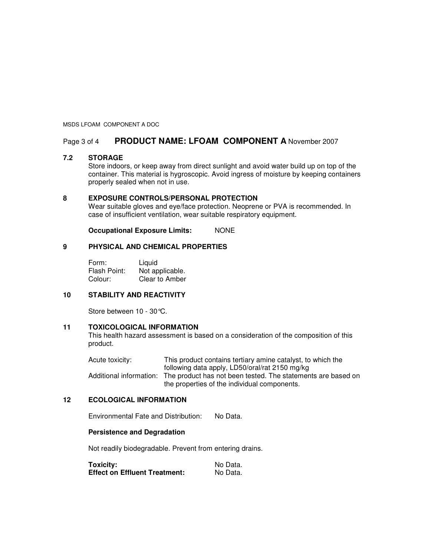#### MSDS LFOAM COMPONENT A DOC

# Page 3 of 4 **PRODUCT NAME: LFOAM COMPONENT A** November 2007

#### **7.2 STORAGE**

Store indoors, or keep away from direct sunlight and avoid water build up on top of the container. This material is hygroscopic. Avoid ingress of moisture by keeping containers properly sealed when not in use.

#### **8 EXPOSURE CONTROLS/PERSONAL PROTECTION**

Wear suitable gloves and eye/face protection. Neoprene or PVA is recommended. In case of insufficient ventilation, wear suitable respiratory equipment.

**Occupational Exposure Limits:** NONE

#### **9 PHYSICAL AND CHEMICAL PROPERTIES**

Form: Liquid<br>Flash Point: Not ap Not applicable. Colour: Clear to Amber

#### **10 STABILITY AND REACTIVITY**

Store between 10 - 30°C.

#### **11 TOXICOLOGICAL INFORMATION**

This health hazard assessment is based on a consideration of the composition of this product.

Acute toxicity: This product contains tertiary amine catalyst, to which the following data apply, LD50/oral/rat 2150 mg/kg Additional information: The product has not been tested. The statements are based on the properties of the individual components.

#### **12 ECOLOGICAL INFORMATION**

Environmental Fate and Distribution: No Data.

#### **Persistence and Degradation**

Not readily biodegradable. Prevent from entering drains.

| <b>Toxicity:</b>                     | No Data. |
|--------------------------------------|----------|
| <b>Effect on Effluent Treatment:</b> | No Data. |